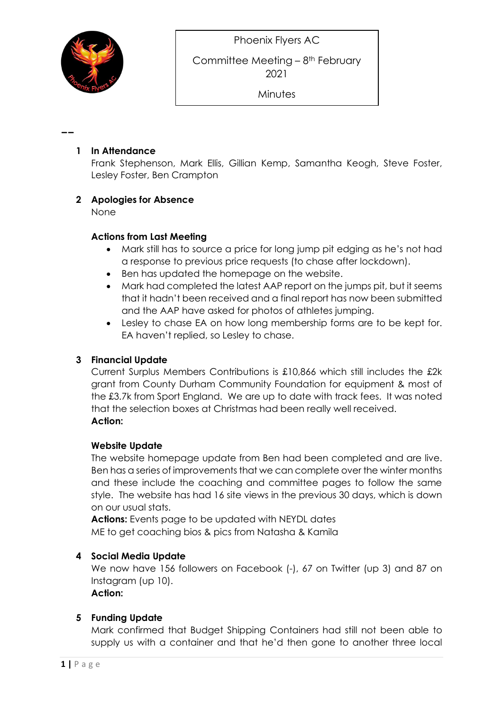--

**Minutes** 

## 1 In Attendance

Frank Stephenson, Mark Ellis, Gillian Kemp, Samantha Keogh, Steve Foster, Lesley Foster, Ben Crampton

## 2 Apologies for Absence

None

### Actions from Last Meeting

- Mark still has to source a price for long jump pit edging as he's not had a response to previous price requests (to chase after lockdown).
- Ben has updated the homepage on the website.
- Mark had completed the latest AAP report on the jumps pit, but it seems that it hadn't been received and a final report has now been submitted and the AAP have asked for photos of athletes jumping.
- Lesley to chase EA on how long membership forms are to be kept for. EA haven't replied, so Lesley to chase.

## 3 Financial Update

Current Surplus Members Contributions is £10,866 which still includes the £2k grant from County Durham Community Foundation for equipment & most of the £3.7k from Sport England. We are up to date with track fees. It was noted that the selection boxes at Christmas had been really well received. Action:

## Website Update

The website homepage update from Ben had been completed and are live. Ben has a series of improvements that we can complete over the winter months and these include the coaching and committee pages to follow the same style. The website has had 16 site views in the previous 30 days, which is down on our usual stats.

Actions: Events page to be updated with NEYDL dates ME to get coaching bios & pics from Natasha & Kamila

## 4 Social Media Update

We now have 156 followers on Facebook (-1, 67 on Twitter (up 3) and 87 on Instagram (up 10).

#### Action:

## 5 Funding Update

Mark confirmed that Budget Shipping Containers had still not been able to supply us with a container and that he'd then gone to another three local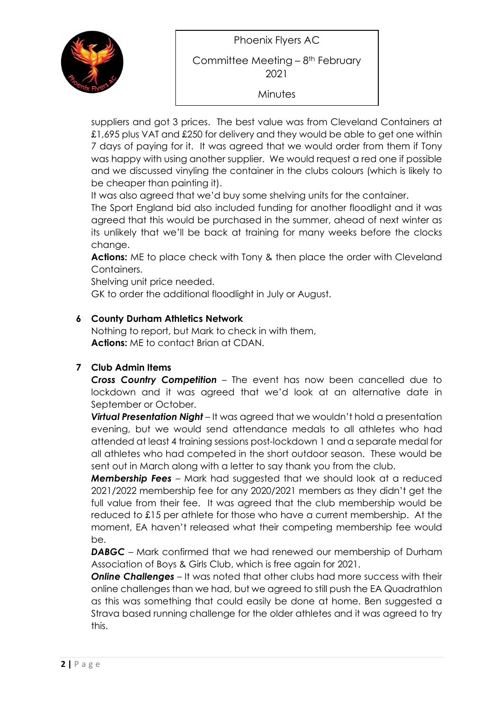Phoenix Flyers AC



Committee Meeting – 8th February 2021

**Minutes** 

suppliers and got 3 prices. The best value was from Cleveland Containers at £1,695 plus VAT and £250 for delivery and they would be able to get one within 7 days of paying for it. It was agreed that we would order from them if Tony was happy with using another supplier. We would request a red one if possible and we discussed vinyling the container in the clubs colours (which is likely to be cheaper than painting it).

It was also agreed that we'd buy some shelving units for the container.

The Sport England bid also included funding for another floodlight and it was agreed that this would be purchased in the summer, ahead of next winter as its unlikely that we'll be back at training for many weeks before the clocks change.

Actions: ME to place check with Tony & then place the order with Cleveland Containers.

Shelving unit price needed.

GK to order the additional floodlight in July or August.

## 6 County Durham Athletics Network

Nothing to report, but Mark to check in with them, Actions: ME to contact Brian at CDAN.

# 7 Club Admin Items

Cross Country Competition – The event has now been cancelled due to lockdown and it was agreed that we'd look at an alternative date in September or October.

**Virtual Presentation Night** – It was agreed that we wouldn't hold a presentation evening, but we would send attendance medals to all athletes who had attended at least 4 training sessions post-lockdown 1 and a separate medal for all athletes who had competed in the short outdoor season. These would be sent out in March along with a letter to say thank you from the club.

**Membership Fees** – Mark had suggested that we should look at a reduced 2021/2022 membership fee for any 2020/2021 members as they didn't get the full value from their fee. It was agreed that the club membership would be reduced to £15 per athlete for those who have a current membership. At the moment, EA haven't released what their competing membership fee would be.

DABGC – Mark confirmed that we had renewed our membership of Durham Association of Boys & Girls Club, which is free again for 2021.

**Online Challenges** – It was noted that other clubs had more success with their online challenges than we had, but we agreed to still push the EA Quadrathlon as this was something that could easily be done at home. Ben suggested a Strava based running challenge for the older athletes and it was agreed to try this.